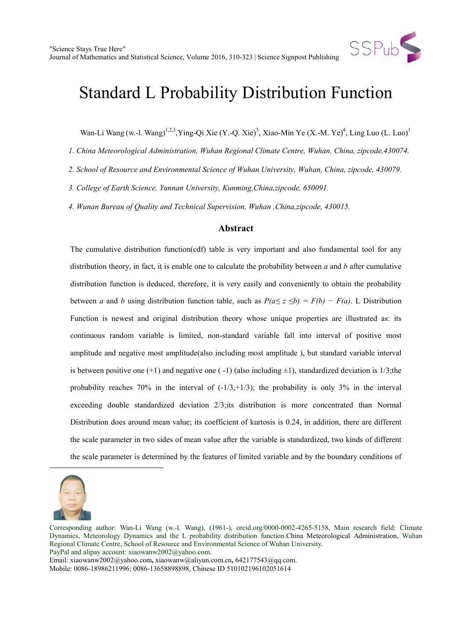

Wan-Li Wang [\(](#page-0-0)w.-l. Wang)<sup>1,2,3</sup>, Ying-Qi Xie (Y.-Q. Xie)<sup>3</sup>, Xiao-Min Ye (X.-M. Ye)<sup>4</sup>, Ling Luo (L. Luo)<sup>1</sup>

*1. China Meteorological Administration, Wuhan Regional Climate Centre, Wuhan, China, zipcode,430074.*

*2. School of Resource and Environmental Science of Wuhan University, Wuhan, China, zipcode, 430079.*

*3. College of Earth Science, Yunnan University, Kunming,China,zipcode, 650091.*

*4. Wunan Bureau of Quality and Technical Supervision, Wuhan ,China,zipcode, 430015.*

#### **Abstract**

The cumulative distribution function(cdf) table is very important and also fundamental tool for any distribution theory, in fact, it is enable one to calculate the probability between *a* and *b* after cumulative distribution function is deduced, therefore, it is very easily and conveniently to obtain the probability between *a* and *b* using distribution function table, such as  $P(a \leq z \leq b) = F(b) - F(a)$ . L Distribution Function is newest and original distribution theory whose unique properties are illustrated as: its continuous random variable is limited, non-standard variable fall into interval of positive most amplitude and negative most amplitude(also including most amplitude ), but standard variable interval is between positive one  $(+1)$  and negative one  $(-1)$  (also including  $\pm 1$ ), standardized deviation is 1/3;the probability reaches 70% in the interval of  $(-1/3,+1/3)$ ; the probability is only 3% in the interval exceeding double standardized deviation 2/3;its distribution is more concentrated than Normal Distribution does around mean value; its coefficient of kurtosis is 0.24, in addition, there are different the scale parameter in two sides of mean value after the variable is standardized, two kinds of different the scale parameter is determined by the features of limited variable and by the boundary conditions of

<span id="page-0-0"></span>

 $\overline{a}$ 

Corresponding author: Wan-Li Wang (w.-l. Wang), (1961-), orcid.org/0000-0002-4265-5158, Main research field: Climate Dynamics, Meteorology Dynamics and the L probability distribution function.China Meteorological Administration, Wuhan Regional Climate Centre, School of Resource and Environmental Science of Wuhan University. PayPal and alipay account: xiaowanw2002@yahoo.com.

Email: xiaowanw2002@yahoo.com**,** xiaowanw@aliyun.com.cn**,** 642177543@qq.com.

Mobile: 0086-18986211996; 0086-13658898898, Chinese ID 510102196102051614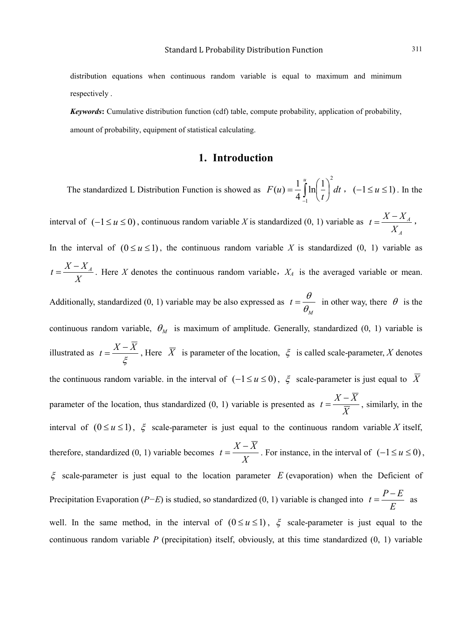distribution equations when continuous random variable is equal to maximum and minimum respectively .

*Keywords***:** Cumulative distribution function (cdf) table, compute probability, application of probability, amount of probability, equipment of statistical calculating.

#### **1. Introduction**

The standardized L Distribution Function is showed as  $F(u) = \frac{1}{u} \ln |u| + |du|$ *t F u u*  $\left(1\right)^2$ 1  $\ln\left( \frac{1}{2} \right)$  $(u) = \frac{1}{4} \int_{-1}^{u}$  $\overline{\phantom{a}}$ J  $\left(\frac{1}{\cdot}\right)$  $\setminus$  $=\frac{1}{4}\int_0^u \ln\left(\frac{1}{u}\right) dt$ ,  $(-1 \le u \le 1)$ . In the interval of (−1≤ *u* ≤ 0), continuous random variable *X* is standardized (0, 1) variable as *A A X*  $t = \frac{X - X_A}{Y}$ , In the interval of  $(0 \le u \le 1)$ , the continuous random variable X is standardized  $(0, 1)$  variable as *X*  $t = \frac{X - X_A}{X}$ . Here *X* denotes the continuous random variable,  $X_A$  is the averaged variable or mean. Additionally, standardized (0, 1) variable may be also expressed as  $t = \frac{\theta}{\theta_{14}}$  in other way, there  $\theta$  is the *M* continuous random variable,  $\theta_M$  is maximum of amplitude. Generally, standardized (0, 1) variable is illustrated as ξ  $t = \frac{X - \overline{X}}{Z}$ , Here  $\overline{X}$  is parameter of the location,  $\xi$  is called scale-parameter, *X* denotes the continuous random variable. in the interval of  $(-1 \le u \le 0)$ ,  $\xi$  scale-parameter is just equal to  $\overline{X}$ parameter of the location, thus standardized (0, 1) variable is presented as  $t = \frac{1}{\overline{X}}$  $t = \frac{X - \overline{X}}{\overline{X}}$ , similarly, in the interval of  $(0 \le u \le 1)$ ,  $\xi$  scale-parameter is just equal to the continuous random variable *X* itself, therefore, standardized (0, 1) variable becomes *X*  $t = \frac{X - \overline{X}}{X}$ . For instance, in the interval of  $(-1 \le u \le 0)$ , ξ scale-parameter is just equal to the location parameter *E* (evaporation) when the Deficient of Precipitation Evaporation (*P−E*) is studied, so standardized (0, 1) variable is changed into *<sup>E</sup>*  $t = \frac{P - E}{E}$  as well. In the same method, in the interval of  $(0 \le u \le 1)$ ,  $\xi$  scale-parameter is just equal to the continuous random variable *P* (precipitation) itself, obviously, at this time standardized (0, 1) variable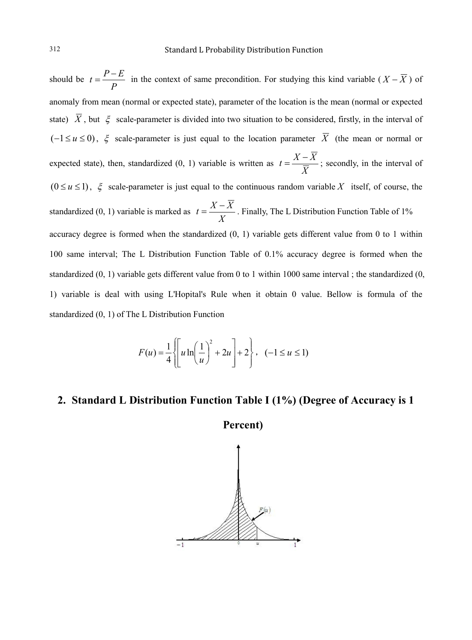should be *P*  $t = \frac{P - E}{R}$  in the context of same precondition. For studying this kind variable ( $X - \overline{X}$ ) of anomaly from mean (normal or expected state), parameter of the location is the mean (normal or expected state)  $\overline{X}$ , but  $\xi$  scale-parameter is divided into two situation to be considered, firstly, in the interval of  $(-1 \le u \le 0)$ ,  $\xi$  scale-parameter is just equal to the location parameter  $\overline{X}$  (the mean or normal or expected state), then, standardized (0, 1) variable is written as *X*  $t = \frac{X - \overline{X}}{\overline{X}}$ ; secondly, in the interval of  $(0 \le u \le 1)$ ,  $\xi$  scale-parameter is just equal to the continuous random variable X itself, of course, the standardized (0, 1) variable is marked as *X*  $t = \frac{X - \overline{X}}{X}$ . Finally, The L Distribution Function Table of 1% accuracy degree is formed when the standardized (0, 1) variable gets different value from 0 to 1 within 100 same interval; The L Distribution Function Table of 0.1% accuracy degree is formed when the standardized (0, 1) variable gets different value from 0 to 1 within 1000 same interval ; the standardized (0, 1) variable is deal with using L'Hopital's Rule when it obtain 0 value. Bellow is formula of the standardized (0, 1) of The L Distribution Function

$$
F(u) = \frac{1}{4} \left\{ \left[ u \ln \left( \frac{1}{u} \right)^2 + 2u \right] + 2 \right\}, \quad (-1 \le u \le 1)
$$

### **2. Standard L Distribution Function Table I (1%) (Degree of Accuracy is 1**

**Percent)**

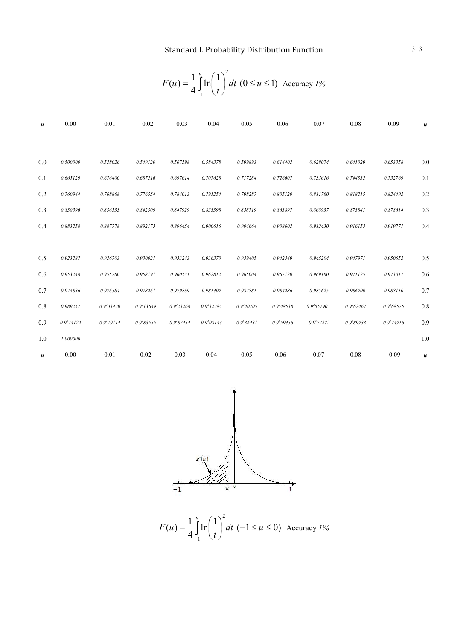| u   | 0.00           | 0.01           | 0.02           | 0.03            | 0.04           | 0.05           | 0.06           | 0.07            | 0.08           | 0.09           | $\boldsymbol{u}$ |
|-----|----------------|----------------|----------------|-----------------|----------------|----------------|----------------|-----------------|----------------|----------------|------------------|
|     |                |                |                |                 |                |                |                |                 |                |                |                  |
| 0.0 | 0.500000       | 0.528026       | 0.549120       | 0.567598        | 0.584378       | 0.599893       | 0.614402       | 0.628074        | 0.641029       | 0.653358       | 0.0              |
| 0.1 | 0.665129       | 0.676400       | 0.687216       | 0.697614        | 0.707628       | 0.717284       | 0.726607       | 0.735616        | 0.744332       | 0.752769       | 0.1              |
| 0.2 | 0.760944       | 0.768868       | 0.776554       | 0.784013        | 0.791254       | 0.798287       | 0.805120       | 0.811760        | 0.818215       | 0.824492       | 0.2              |
| 0.3 | 0.830596       | 0.836533       | 0.842309       | 0.847929        | 0.853398       | 0.858719       | 0.863897       | 0.868937        | 0.873841       | 0.878614       | 0.3              |
| 0.4 | 0.883258       | 0.887778       | 0.892173       | 0.896454        | 0.900616       | 0.904664       | 0.908602       | 0.912430        | 0.916153       | 0.919771       | 0.4              |
|     |                |                |                |                 |                |                |                |                 |                |                |                  |
| 0.5 | 0.923287       | 0.926703       | 0.930021       | 0.933243        | 0.936370       | 0.939405       | 0.942349       | 0.945204        | 0.947971       | 0.950652       | 0.5              |
| 0.6 | 0.953248       | 0.955760       | 0.958191       | 0.960541        | 0.962812       | 0.965004       | 0.967120       | 0.969160        | 0.971125       | 0.973017       | 0.6              |
| 0.7 | 0.974836       | 0.976584       | 0.978261       | 0.979869        | 0.981409       | 0.982881       | 0.984286       | 0.985625        | 0.986900       | 0.988110       | 0.7              |
| 0.8 | 0.989257       | $0.9^{2}03420$ | $0.9^{2}13649$ | $0.9^{2}$ 23268 | $0.9^{2}32284$ | $0.9^{2}40705$ | $0.9^{2}48538$ | $0.9^{2}$ 55790 | $0.9^{2}62467$ | $0.9^{2}68575$ | 0.8              |
| 0.9 | $0.9^{2}74122$ | $0.9^{2}79114$ | $0.9^{2}83555$ | $0.9^{2}87454$  | $0.9^{3}08144$ | $0.9^{3}36431$ | 0.9359456      | $0.9^{3}77272$  | 0.9389933      | $0.9^{4}74916$ | 0.9              |
| 1.0 | 1.000000       |                |                |                 |                |                |                |                 |                |                | 1.0              |
| u   | 0.00           | 0.01           | 0.02           | 0.03            | 0.04           | 0.05           | 0.06           | 0.07            | 0.08           | 0.09           | u                |

$$
F(u) = \frac{1}{4} \int_{-1}^{u} \ln\left(\frac{1}{t}\right)^{2} dt \ (0 \le u \le 1)
$$
 Accuracy 1%



*dt t F u u*  $(1)^2$ 1  $\ln\left(\frac{1}{2}\right)$  $(u) = \frac{1}{4} \int_{-1}^{u}$  $\overline{\phantom{a}}$ J  $\left(\frac{1}{\cdot}\right)$  $\setminus$  $=\frac{1}{4}\int_{0}^{u} \ln\left(\frac{1}{u}\right) dt$  (-1 ≤ *u* ≤ 0) Accuracy *1%*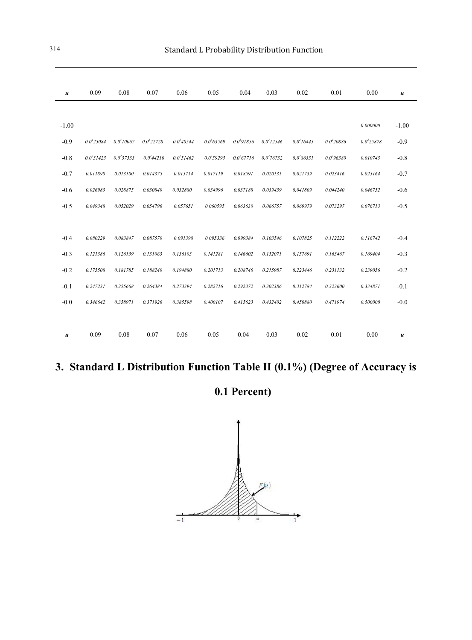| $\boldsymbol{u}$ | 0.09            | 0.08           | 0.07            | 0.06            | 0.05           | 0.04           | 0.03           | 0.02           | 0.01           | 0.00           | $\boldsymbol{u}$ |
|------------------|-----------------|----------------|-----------------|-----------------|----------------|----------------|----------------|----------------|----------------|----------------|------------------|
|                  |                 |                |                 |                 |                |                |                |                |                |                |                  |
| $-1.00$          |                 |                |                 |                 |                |                |                |                |                | 0.000000       | $-1.00$          |
| $-0.9$           | $0.0^{4}$ 25084 | $0.0^{3}10067$ | $0.0^{3}$ 22728 | $0.0^{3}40544$  | $0.0^{3}63569$ | $0.0^{3}91856$ | $0.0^{2}12546$ | $0.0^{2}16445$ | $0.0^{2}20886$ | $0.0^{2}25878$ | $-0.9$           |
| $-0.8$           | $0.0^{2}31425$  | $0.0^{2}37533$ | $0.0^{2}44210$  | $0.0^{2}$ 51462 | $0.0^{2}59295$ | $0.0^{2}67716$ | $0.0^{2}76732$ | $0.0^{2}86351$ | $0.0^{2}96580$ | 0.010743       | $-0.8$           |
| $-0.7$           | 0.011890        | 0.013100       | 0.014375        | 0.015714        | 0.017119       | 0.018591       | 0.020131       | 0.021739       | 0.023416       | 0.025164       | $-0.7$           |
| $-0.6$           | 0.026983        | 0.028875       | 0.030840        | 0.032880        | 0.034996       | 0.037188       | 0.039459       | 0.041809       | 0.044240       | 0.046752       | $-0.6$           |
| $-0.5$           | 0.049348        | 0.052029       | 0.054796        | 0.057651        | 0.060595       | 0.063630       | 0.066757       | 0.069979       | 0.073297       | 0.076713       | $-0.5$           |
|                  |                 |                |                 |                 |                |                |                |                |                |                |                  |
| $-0.4$           | 0.080229        | 0.083847       | 0.087570        | 0.091398        | 0.095336       | 0.099384       | 0.103546       | 0.107825       | 0.112222       | 0.116742       | $-0.4$           |
| $-0.3$           | 0.121386        | 0.126159       | 0.131063        | 0.136103        | 0.141281       | 0.146602       | 0.152071       | 0.157691       | 0.163467       | 0.169404       | $-0.3$           |
| $-0.2$           | 0.175508        | 0.181785       | 0.188240        | 0.194880        | 0.201713       | 0.208746       | 0.215987       | 0.223446       | 0.231132       | 0.239056       | $-0.2$           |
| $-0.1$           | 0.247231        | 0.255668       | 0.264384        | 0.273394        | 0.282716       | 0.292372       | 0.302386       | 0.312784       | 0.323600       | 0.334871       | $-0.1$           |
| $-0.0$           | 0.346642        | 0.358971       | 0.371926        | 0.385598        | 0.400107       | 0.415623       | 0.432402       | 0.450880       | 0.471974       | 0.500000       | $-0.0$           |
|                  |                 |                |                 |                 |                |                |                |                |                |                |                  |
| $\boldsymbol{u}$ | 0.09            | 0.08           | 0.07            | 0.06            | 0.05           | 0.04           | 0.03           | 0.02           | 0.01           | 0.00           | u                |

## **3. Standard L Distribution Function Table II (0.1%) (Degree of Accuracy is**

## **0.1 Percent)**

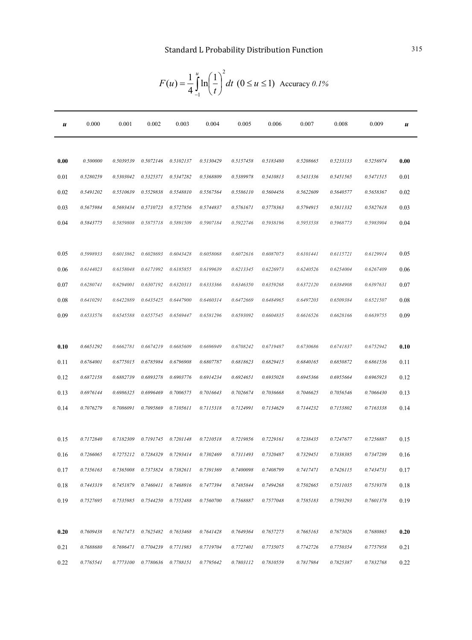| u    | 0.000     | 0.001     | 0.002     | 0.003     | 0.004     | 0.005     | 0.006     | 0.007     | 0.008     | 0.009     | $\boldsymbol{u}$ |
|------|-----------|-----------|-----------|-----------|-----------|-----------|-----------|-----------|-----------|-----------|------------------|
|      |           |           |           |           |           |           |           |           |           |           |                  |
| 0.00 | 0.500000  | 0.5039539 | 0.5072146 | 0.5102137 | 0.5130429 | 0.5157458 | 0.5183480 | 0.5208665 | 0.5233133 | 0.5256974 | 0.00             |
| 0.01 | 0.5280259 | 0.5303042 | 0.5325371 | 0.5347282 | 0.5368809 | 0.5389978 | 0.5410813 | 0.5431336 | 0.5451565 | 0.5471515 | 0.01             |
| 0.02 | 0.5491202 | 0.5510639 | 0.5529838 | 0.5548810 | 0.5567564 | 0.5586110 | 0.5604456 | 0.5622609 | 0.5640577 | 0.5658367 | 0.02             |
| 0.03 | 0.5675984 | 0.5693434 | 0.5710723 | 0.5727856 | 0.5744837 | 0.5761671 | 0.5778363 | 0.5794915 | 0.5811332 | 0.5827618 | 0.03             |
| 0.04 | 0.5843775 | 0.5859808 | 0.5875718 | 0.5891509 | 0.5907184 | 0.5922746 | 0.5938196 | 0.5953538 | 0.5968773 | 0.5983904 | 0.04             |
|      |           |           |           |           |           |           |           |           |           |           |                  |
| 0.05 | 0.5998933 | 0.6013862 | 0.6028693 | 0.6043428 | 0.6058068 | 0.6072616 | 0.6087073 | 0.6101441 | 0.6115721 | 0.6129914 | 0.05             |
| 0.06 | 0.6144023 | 0.6158048 | 0.6171992 | 0.6185855 | 0.6199639 | 0.6213345 | 0.6226973 | 0.6240526 | 0.6254004 | 0.6267409 | 0.06             |
| 0.07 | 0.6280741 | 0.6294001 | 0.6307192 | 0.6320313 | 0.6333366 | 0.6346350 | 0.6359268 | 0.6372120 | 0.6384908 | 0.6397631 | 0.07             |
| 0.08 | 0.6410291 | 0.6422889 | 0.6435425 | 0.6447900 | 0.6460314 | 0.6472669 | 0.6484965 | 0.6497203 | 0.6509384 | 0.6521507 | 0.08             |
| 0.09 | 0.6533576 | 0.6545588 | 0.6557545 | 0.6569447 | 0.6581296 | 0.6593092 | 0.6604835 | 0.6616526 | 0.6628166 | 0.6639755 | 0.09             |
|      |           |           |           |           |           |           |           |           |           |           |                  |
| 0.10 | 0.6651292 | 0.6662781 | 0.6674219 | 0.6685609 | 0.6696949 | 0.6708242 | 0.6719487 | 0.6730686 | 0.6741837 | 0.6752942 | 0.10             |
| 0.11 | 0.6764001 | 0.6775015 | 0.6785984 | 0.6796908 | 0.6807787 | 0.6818623 | 0.6829415 | 0.6840165 | 0.6850872 | 0.6861536 | 0.11             |
| 0.12 | 0.6872158 | 0.6882739 | 0.6893278 | 0.6903776 | 0.6914234 | 0.6924651 | 0.6935028 | 0.6945366 | 0.6955664 | 0.6965923 | 0.12             |
| 0.13 | 0.6976144 | 0.6986325 | 0.6996469 | 0.7006575 | 0.7016643 | 0.7026674 | 0.7036668 | 0.7046625 | 0.7056546 | 0.7066430 | 0.13             |
| 0.14 | 0.7076279 | 0.7086091 | 0.7095869 | 0.7105611 | 0.7115318 | 0.7124991 | 0.7134629 | 0.7144232 | 0.7153802 | 0.7163338 | 0.14             |
|      |           |           |           |           |           |           |           |           |           |           |                  |
| 0.15 | 0.7172840 | 0.7182309 | 0.7191745 | 0.7201148 | 0.7210518 | 0.7219856 | 0.7229161 | 0.7238435 | 0.7247677 | 0.7256887 | 0.15             |
| 0.16 | 0.7266065 | 0.7275212 | 0.7284329 | 0.7293414 | 0.7302469 | 0.7311493 | 0.7320487 | 0.7329451 | 0.7338385 | 0.7347289 | 0.16             |
| 0.17 | 0.7356163 | 0.7365008 | 0.7373824 | 0.7382611 | 0.7391369 | 0.7400098 | 0.7408799 | 0.7417471 | 0.7426115 | 0.7434731 | 0.17             |
| 0.18 | 0.7443319 | 0.7451879 | 0.7460411 | 0.7468916 | 0.7477394 | 0.7485844 | 0.7494268 | 0.7502665 | 0.7511035 | 0.7519378 | 0.18             |
| 0.19 | 0.7527695 | 0.7535985 | 0.7544250 | 0.7552488 | 0.7560700 | 0.7568887 | 0.7577048 | 0.7585183 | 0.7593293 | 0.7601378 | 0.19             |
|      |           |           |           |           |           |           |           |           |           |           |                  |
| 0.20 | 0.7609438 | 0.7617473 | 0.7625482 | 0.7633468 | 0.7641428 | 0.7649364 | 0.7657275 | 0.7665163 | 0.7673026 | 0.7680865 | 0.20             |
| 0.21 | 0.7688680 | 0.7696471 | 0.7704239 | 0.7711983 | 0.7719704 | 0.7727401 | 0.7735075 | 0.7742726 | 0.7750354 | 0.7757958 | 0.21             |
| 0.22 | 0.7765541 | 0.7773100 | 0.7780636 | 0.7788151 | 0.7795642 | 0.7803112 | 0.7810559 | 0.7817984 | 0.7825387 | 0.7832768 | 0.22             |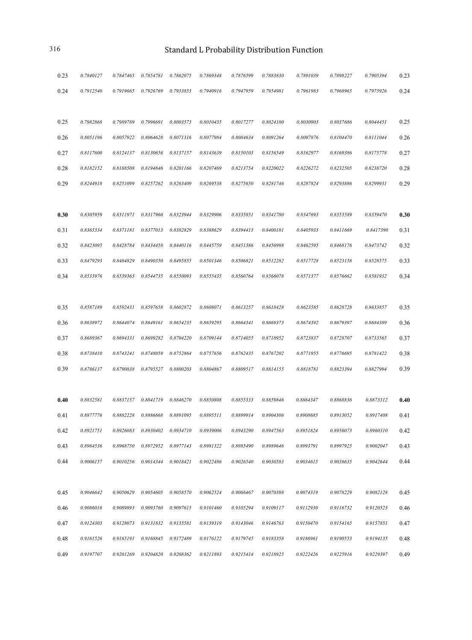| 0.23 | 0.7840127 | 0.7847465 | 0.7854781                       | 0.7862075            | 0.7869348 | 0.7876599 | 0.7883830 | 0.7891039 | 0.7898227 | 0.7905394 | 0.23 |
|------|-----------|-----------|---------------------------------|----------------------|-----------|-----------|-----------|-----------|-----------|-----------|------|
| 0.24 | 0.7912540 | 0.7919665 | 0.7926769                       | 0.7933853            | 0.7940916 | 0.7947959 | 0.7954981 | 0.7961983 | 0.7968965 | 0.7975926 | 0.24 |
|      |           |           |                                 |                      |           |           |           |           |           |           |      |
| 0.25 | 0.7982868 | 0.7989789 | 0.7996691                       | 0.8003573            | 0.8010435 | 0.8017277 | 0.8024100 | 0.8030903 | 0.8037686 | 0.8044451 | 0.25 |
| 0.26 | 0.8051196 | 0.8057922 | 0.8064628                       | 0.8071316            | 0.8077984 | 0.8084634 | 0.8091264 | 0.8097876 | 0.8104470 | 0.8111044 | 0.26 |
| 0.27 | 0.8117600 | 0.8124137 | 0.8130656                       | 0.8137157            | 0.8143639 | 0.8150103 | 0.8156549 | 0.8162977 | 0.8169386 | 0.8175778 | 0.27 |
| 0.28 | 0.8182152 | 0.8188508 | 0.8194846                       | 0.8201166            | 0.8207469 | 0.8213754 | 0.8220022 | 0.8226272 | 0.8232505 | 0.8238720 | 0.28 |
| 0.29 | 0.8244918 | 0.8251099 | 0.8257262                       | 0.8263409            | 0.8269538 | 0.8275650 | 0.8281746 | 0.8287824 | 0.8293886 | 0.8299931 | 0.29 |
|      |           |           |                                 |                      |           |           |           |           |           |           |      |
| 0.30 | 0.8305959 | 0.8311971 | 0.8317966                       | 0.8323944            | 0.8329906 | 0.8335851 | 0.8341780 | 0.8347693 | 0.8353589 | 0.8359470 | 0.30 |
| 0.31 | 0.8365334 | 0.8371181 | 0.8377013                       | 0.8382829            | 0.8388629 | 0.8394413 | 0.8400181 | 0.8405933 | 0.8411669 | 0.8417390 | 0.31 |
| 0.32 | 0.8423095 | 0.8428784 | 0.8434458                       | 0.8440116            | 0.8445759 | 0.8451386 | 0.8456998 | 0.8462595 | 0.8468176 | 0.8473742 | 0.32 |
| 0.33 | 0.8479293 | 0.8484829 | 0.8490350                       | 0.8495855            | 0.8501346 | 0.8506821 | 0.8512282 | 0.8517728 | 0.8523158 | 0.8528575 | 0.33 |
| 0.34 | 0.8533976 | 0.8539363 | 0.8544735                       | 0.8550093            | 0.8555435 | 0.8560764 | 0.8566078 | 0.8571377 | 0.8576662 | 0.8581932 | 0.34 |
|      |           |           |                                 |                      |           |           |           |           |           |           |      |
| 0.35 | 0.8587189 | 0.8592431 | 0.8597658                       | 0.8602872            | 0.8608071 | 0.8613257 | 0.8618428 | 0.8623585 | 0.8628728 | 0.8633857 | 0.35 |
| 0.36 | 0.8638972 | 0.8644074 | 0.8649161                       | 0.8654235            | 0.8659295 | 0.8664341 | 0.8669373 | 0.8674392 | 0.8679397 | 0.8684389 | 0.36 |
| 0.37 | 0.8689367 | 0.8694331 | 0.8699282                       | 0.8704220            | 0.8709144 | 0.8714055 | 0.8718952 | 0.8723837 | 0.8728707 | 0.8733565 | 0.37 |
| 0.38 | 0.8738410 | 0.8743241 | 0.8748059                       | 0.8752864            | 0.8757656 | 0.8762435 | 0.8767202 | 0.8771955 | 0.8776695 | 0.8781422 | 0.38 |
| 0.39 | 0.8786137 | 0.8790838 | 0.8795527                       | 0.8800203            | 0.8804867 | 0.8809517 | 0.8814155 | 0.8818781 | 0.8823394 | 0.8827994 | 0.39 |
|      |           |           |                                 |                      |           |           |           |           |           |           |      |
| 0.40 | 0.8832581 | 0.8837157 | 0.8841719                       | 0.8846270            | 0.8850808 | 0.8855333 | 0.8859846 | 0.8864347 | 0.8868836 | 0.8873312 | 0.40 |
| 0.41 | 0.8877776 | 0.8882228 | 0.8886668                       | 0.8891095            | 0.8895511 | 0.8899914 | 0.8904306 | 0.8908685 | 0.8913052 | 0.8917408 | 0.41 |
| 0.42 | 0.8921751 | 0.8926083 | 0.8930402                       | 0.8934710            | 0.8939006 | 0.8943290 | 0.8947563 | 0.8951824 | 0.8956073 | 0.8960310 | 0.42 |
| 0.43 | 0.8964536 | 0.8968750 | 0.8972952  0.8977143            |                      | 0.8981322 | 0.8985490 | 0.8989646 | 0.8993791 | 0.8997925 | 0.9002047 | 0.43 |
| 0.44 | 0.9006157 |           | 0.9010256  0.9014344  0.9018421 |                      | 0.9022486 | 0.9026540 | 0.9030583 | 0.9034615 | 0.9038635 | 0.9042644 | 0.44 |
|      |           |           |                                 |                      |           |           |           |           |           |           |      |
| 0.45 | 0.9046642 | 0.9050629 |                                 | 0.9054605  0.9058570 | 0.9062524 | 0.9066467 | 0.9070398 | 0.9074319 | 0.9078229 | 0.9082128 | 0.45 |
| 0.46 | 0.9086016 | 0.9089893 | 0.9093760                       | 0.9097615            | 0.9101460 | 0.9105294 | 0.9109117 | 0.9112930 | 0.9116732 | 0.9120523 | 0.46 |
| 0.47 | 0.9124303 | 0.9128073 | 0.9131832                       | 0.9135581            | 0.9139319 | 0.9143046 | 0.9146763 | 0.9150470 | 0.9154165 | 0.9157851 | 0.47 |
| 0.48 | 0.9161526 | 0.9165191 | 0.9168845  0.9172489            |                      | 0.9176122 | 0.9179745 | 0.9183358 | 0.9186961 | 0.9190553 | 0.9194135 | 0.48 |
| 0.49 | 0.9197707 | 0.9201269 | 0.9204820                       | 0.9208362            | 0.9211893 | 0.9215414 | 0.9218925 | 0.9222426 | 0.9225916 | 0.9229397 | 0.49 |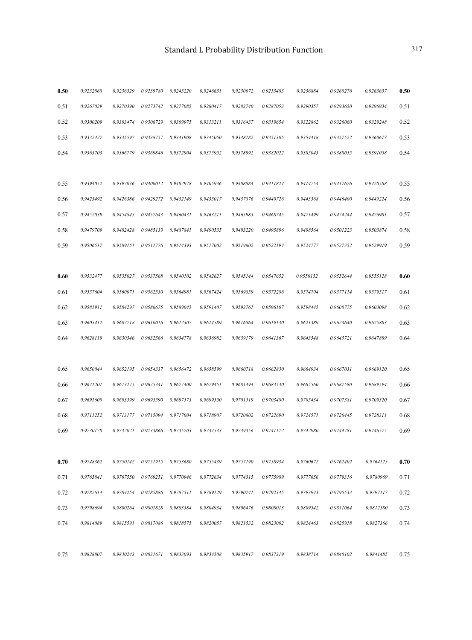| 0.50 | 0.9232868 | 0.9236329 | 0.9239780 | 0.9243220 | 0.9246651 | 0.9250072 | 0.9253483 | 0.9256884 | 0.9260276 | 0.9263657 | 0.50 |
|------|-----------|-----------|-----------|-----------|-----------|-----------|-----------|-----------|-----------|-----------|------|
| 0.51 | 0.9267029 | 0.9270390 | 0.9273742 | 0.9277085 | 0.9280417 | 0.9283740 | 0.9287053 | 0.9290357 | 0.9293650 | 0.9296934 | 0.51 |
| 0.52 | 0.9300209 | 0.9303474 | 0.9306729 | 0.9309975 | 0.9313211 | 0.9316437 | 0.9319654 | 0.9322862 | 0.9326060 | 0.9329248 | 0.52 |
| 0.53 | 0.9332427 | 0.9335597 | 0.9338757 | 0.9341908 | 0.9345050 | 0.9348182 | 0.9351305 | 0.9354418 | 0.9357522 | 0.9360617 | 0.53 |
| 0.54 | 0.9363703 | 0.9366779 | 0.9369846 | 0.9372904 | 0.9375952 | 0.9378992 | 0.9382022 | 0.9385043 | 0.9388055 | 0.9391058 | 0.54 |
|      |           |           |           |           |           |           |           |           |           |           |      |
| 0.55 | 0.9394052 | 0.9397036 | 0.9400012 | 0.9402978 | 0.9405936 | 0.9408884 | 0.9411824 | 0.9414754 | 0.9417676 | 0.9420588 | 0.55 |
| 0.56 | 0.9423492 | 0.9426386 | 0.9429272 | 0.9432149 | 0.9435017 | 0.9437876 | 0.9440726 | 0.9443568 | 0.9446400 | 0.9449224 | 0.56 |
| 0.57 | 0.9452039 | 0.9454845 | 0.9457643 | 0.9460431 | 0.9463211 | 0.9465983 | 0.9468745 | 0.9471499 | 0.9474244 | 0.9476981 | 0.57 |
| 0.58 | 0.9479709 | 0.9482428 | 0.9485139 | 0.9487841 | 0.9490535 | 0.9493220 | 0.9495896 | 0.9498564 | 0.9501223 | 0.9503874 | 0.58 |
| 0.59 | 0.9506517 | 0.9509151 | 0.9511776 | 0.9514393 | 0.9517002 | 0.9519602 | 0.9522194 | 0.9524777 | 0.9527352 | 0.9529919 | 0.59 |
|      |           |           |           |           |           |           |           |           |           |           |      |
| 0.60 | 0.9532477 | 0.9535027 | 0.9537568 | 0.9540102 | 0.9542627 | 0.9545144 | 0.9547652 | 0.9550152 | 0.9552644 | 0.9555128 | 0.60 |
| 0.61 | 0.9557604 | 0.9560071 | 0.9562530 | 0.9564981 | 0.9567424 | 0.9569859 | 0.9572286 | 0.9574704 | 0.9577114 | 0.9579517 | 0.61 |
| 0.62 | 0.9581911 | 0.9584297 | 0.9586675 | 0.9589045 | 0.9591407 | 0.9593761 | 0.9596107 | 0.9598445 | 0.9600775 | 0.9603098 | 0.62 |
| 0.63 | 0.9605412 | 0.9607718 | 0.9610016 | 0.9612307 | 0.9614589 | 0.9616864 | 0.9619130 | 0.9621389 | 0.9623640 | 0.9625883 | 0.63 |
| 0.64 | 0.9628119 | 0.9630346 | 0.9632566 | 0.9634778 | 0.9636982 | 0.9639179 | 0.9641367 | 0.9643548 | 0.9645721 | 0.9647889 | 0.64 |
|      |           |           |           |           |           |           |           |           |           |           |      |
| 0.65 | 0.9650044 | 0.9652195 | 0.9654337 | 0.9656472 | 0.9658599 | 0.9660718 | 0.9662830 | 0.9664934 | 0.9667031 | 0.9669120 | 0.65 |
| 0.66 | 0.9671201 | 0.9673275 | 0.9675341 | 0.9677400 | 0.9679451 | 0.9681494 | 0.9683530 | 0.9685560 | 0.9687580 | 0.9689594 | 0.66 |
| 0.67 | 0.9691600 | 0.9693599 | 0.9695590 | 0.9697573 | 0.9699550 | 0.9701519 | 0.9703480 | 0.9705434 | 0.9707381 | 0.9709320 | 0.67 |
| 0.68 | 0.9711252 | 0.9713177 | 0.9715094 | 0.9717004 | 0.9718907 | 0.9720802 | 0.9722690 | 0.9724571 | 0.9726445 | 0.9728311 | 0.68 |
| 0.69 | 0.9730170 | 0.9732021 | 0.9733866 | 0.9735703 | 0.9737533 | 0.9739356 | 0.9741172 | 0.9742980 | 0.9744781 | 0.9746575 | 0.69 |
|      |           |           |           |           |           |           |           |           |           |           |      |
| 0.70 | 0.9748362 | 0.9750142 | 0.9751915 | 0.9753680 | 0.9755439 | 0.9757190 | 0.9758934 | 0.9760672 | 0.9762402 | 0.9764125 | 0.70 |
| 0.71 | 0.9765841 | 0.9767550 | 0.9769251 | 0.9770946 | 0.9772634 | 0.9774315 | 0.9775989 | 0.9777656 | 0.9779316 | 0.9780969 | 0.71 |
| 0.72 | 0.9782614 | 0.9784254 | 0.9785886 | 0.9787511 | 0.9789129 | 0.9790741 | 0.9792345 | 0.9793943 | 0.9795533 | 0.9797117 | 0.72 |
| 0.73 | 0.9798694 | 0.9800264 | 0.9801828 | 0.9803384 | 0.9804934 | 0.9806476 | 0.9808013 | 0.9809542 | 0.9811064 | 0.9812580 | 0.73 |
| 0.74 | 0.9814089 | 0.9815591 | 0.9817086 | 0.9818575 | 0.9820057 | 0.9821532 | 0.9823002 | 0.9824463 | 0.9825918 | 0.9827366 | 0.74 |
|      |           |           |           |           |           |           |           |           |           |           |      |
| 0.75 | 0.9828807 | 0.9830243 | 0.9831671 | 0.9833093 | 0.9834508 | 0.9835917 | 0.9837319 | 0.9838714 | 0.9840102 | 0.9841485 | 0.75 |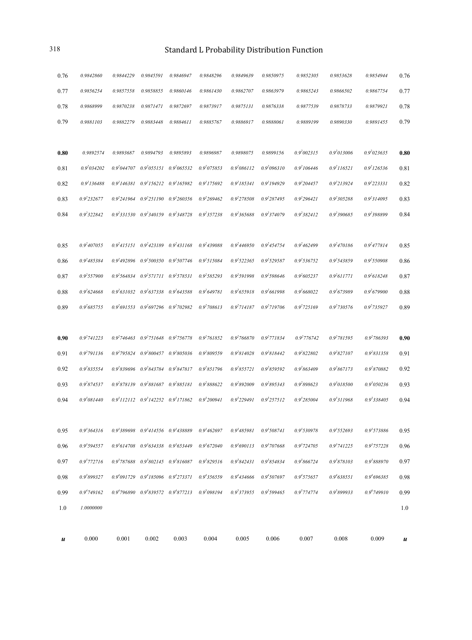| и    | 0.000               | 0.001           | 0.002                                           | 0.003     | 0.004           | 0.005                   | 0.006                   | 0.007                   | 0.008            | 0.009            | u    |
|------|---------------------|-----------------|-------------------------------------------------|-----------|-----------------|-------------------------|-------------------------|-------------------------|------------------|------------------|------|
| 1.0  | 1.0000000           |                 |                                                 |           |                 |                         |                         |                         |                  |                  | 1.0  |
| 0.99 | $0.9^{\rm t}749162$ |                 | $0.9'796890$ $0.9'839572$ $0.9'877213$          |           | $0.9^{5}098194$ | 0.9 <sup>5</sup> 373955 | 0.9 <sup>5</sup> 599465 | 0.9 <sup>5</sup> 774774 | 0.9899933        | $0.9^6749910$    | 0.99 |
| 0.98 | 0.93899327          |                 | $0.9^{4}091729$ $0.9^{4}185096$ $0.9^{4}273371$ |           | 0.94356559      | 0.9'434666              | 0.9 <sup>4</sup> 507697 | $0.9^4$ 575657          | 0.9'638551       | 0.9'696385       | 0.98 |
| 0.97 | $0.9^{3}772716$     |                 | $0.9^{3}787688$ $0.9^{3}802145$ $0.9^{3}816087$ |           | 0.93829516      | $0.9^{3}842431$         | 0.93854834              | $0.9^{3}866724$         | 0.93878103       | 0.93888970       | 0.97 |
| 0.96 | $0.9^{\rm 3}594557$ |                 | $0.9^{3}614708$ $0.9^{3}634338$ $0.9^{3}653449$ |           | $0.9^{3}672040$ | $0.9^{3}690113$         | $0.9^{3}707668$         | $0.9^{3}724705$         | $0.9^{3}741225$  | $0.9^{3}757228$  | 0.96 |
| 0.95 | $0.9^{3}364316$     |                 | $0.9^{3}389698$ $0.9^{3}414556$ $0.9^{3}438889$ |           | $0.9^{3}462697$ | $0.9^{3}485981$         | $0.9^{3}508741$         | 0.9330978               | 0.93552693       | 0.93573886       | 0.95 |
|      |                     |                 |                                                 |           |                 |                         |                         |                         |                  |                  |      |
| 0.94 | $0.9^{3}081440$     |                 | $0.9^{3}112112$ $0.9^{3}142252$ $0.9^{3}171862$ |           | $0.9^{3}200941$ | $0.9^{3}$ 229491        | $0.9^{3}$ 257512        | $0.9^{3}$ 285004        | 0.9311968        | 0.9338405        | 0.94 |
| 0.93 | $0.9^{2}874537$     |                 | $0.9^{2}878139$ $0.9^{2}881687$ $0.9^{2}885181$ |           | $0.9^{2}888622$ | $0.9^{2}892009$         | $0.9^{2}895343$         | $0.9^{2}898623$         | $0.9^{3}018500$  | $0.9^{3}050236$  | 0.93 |
| 0.92 | $0.9^{2}835554$     |                 | $0.9^{2}839696$ $0.9^{2}843784$ $0.9^{2}847817$ |           | $0.9^{2}851796$ | $0.9^{2}855721$         | $0.9^{2}859592$         | $0.9^{2}863409$         | $0.9^{2}867173$  | $0.9^{2}870882$  | 0.92 |
| 0.91 | $0.9^{2}791136$     |                 | $0.9^{2}795824$ $0.9^{2}800457$ $0.9^{2}805036$ |           | $0.9^{2}809559$ | $0.9^{2}814028$         | $0.9^{2}818442$         | $0.9^{2}822802$         | $0.9^{2}827107$  | 0.9831358        | 0.91 |
| 0.90 | $0.9^{2}741223$     |                 | $0.9^{2}746463$ $0.9^{2}751648$ $0.9^{2}756778$ |           | $0.9^{2}761852$ | $0.9^{2}766870$         | $0.9^{2}771834$         | $0.9^{2}776742$         | $0.9^{2}781595$  | $0.9^{2}786393$  | 0.90 |
|      |                     |                 |                                                 |           |                 |                         |                         |                         |                  |                  |      |
| 0.89 | $0.9^{2}685755$     |                 | $0.9^{2}691553$ $0.9^{2}697296$ $0.9^{2}702982$ |           | $0.9^{2}708613$ | $0.9^{2}714187$         | $0.9^{2}719706$         | $0.9^{2}725169$         | $0.9^{2}730576$  | $0.9^{2}735927$  | 0.89 |
| 0.88 | $0.9^{2}624668$     |                 | $0.9^{2}631032$ $0.9^{2}637338$ $0.9^{2}643588$ |           | $0.9^{2}649781$ | $0.9^{2}655918$         | $0.9^{2}661998$         | $0.9^{2}668022$         | $0.9^{2}673989$  | $0.9^{2}679900$  | 0.88 |
| 0.87 | $0.9^{2}$ 557900    |                 | $0.9^{2}564834$ $0.9^{2}571711$ $0.9^{2}578531$ |           | $0.9^{2}585293$ | $0.9^{2}591998$         | $0.9^{2}598646$         | $0.9^{2}605237$         | $0.9^{2}611771$  | $0.9^{2}618248$  | 0.87 |
| 0.86 | $0.9^{2}485384$     |                 | $0.9^{2}492896$ $0.9^{2}500350$ $0.9^{2}507746$ |           | $0.9^{2}515084$ | $0.9^{2}$ 522365        | $0.9^{2}529587$         | $0.9^{2}$ 536752        | $0.9^{2}543859$  | $0.9^{2}$ 550908 | 0.86 |
| 0.85 | $0.9^{2}407055$     |                 | $0.9^{2}415151$ $0.9^{2}423189$ $0.9^{2}431168$ |           | $0.9^{2}439088$ | $0.9^{2}446950$         | $0.9^{2}454754$         | $0.9^{2}462499$         | $0.9^{2}470186$  | $0.9^{2}477814$  | 0.85 |
|      |                     |                 |                                                 |           |                 |                         |                         |                         |                  |                  |      |
| 0.84 | $0.9^{2}322842$     |                 | $0.9^{2}331530$ $0.9^{2}340159$ $0.9^{2}348728$ |           | $0.9^{2}357238$ | $0.9^{2}365688$         | $0.9^{2}374079$         | $0.9^{2}382412$         | $0.9^{2}390685$  | $0.9^{2}398899$  | 0.84 |
| 0.83 | $0.9^{2}$ 232677    |                 | $0.9^{2}241964$ $0.9^{2}251190$ $0.9^{2}260356$ |           | $0.9^{2}269462$ | $0.9^{2}278508$         | $0.9^{2}287495$         | $0.9^{2}$ 296421        | $0.9^{2}305288$  | $0.9^{2}314095$  | 0.83 |
| 0.82 | $0.9^{2}136488$     |                 | $0.9^{2}146381$ $0.9^{2}156212$ $0.9^{2}165982$ |           | $0.9^{2}175692$ | $0.9^{2}185341$         | $0.9^{2}194929$         | $0.9^{2}$ 204457        | $0.9^{2}$ 213924 | $0.9^{2}$ 223331 | 0.82 |
| 0.81 | $0.9^{2}034202$     | $0.9^{2}044707$ | $0.9^{2}055151$ $0.9^{2}065532$                 |           | $0.9^{2}075853$ | $0.9^{2}086112$         | $0.9^{2}096310$         | $0.9^{2}106446$         | $0.9^{2}116521$  | $0.9^{2}126536$  | 0.81 |
| 0.80 | 0.9892574           | 0.9893687       | 0.9894793                                       | 0.9895893 | 0.9896987       | 0.9898075               | 0.9899156               | $0.9^{2}002315$         | $0.9^{2}013006$  | $0.9^{2}023635$  | 0.80 |
|      |                     |                 |                                                 |           |                 |                         |                         |                         |                  |                  |      |
| 0.79 | 0.9881103           | 0.9882279       | 0.9883448                                       | 0.9884611 | 0.9885767       | 0.9886917               | 0.9888061               | 0.9889199               | 0.9890330        | 0.9891455        | 0.79 |
| 0.78 | 0.9868999           | 0.9870238       | 0.9871471                                       | 0.9872697 | 0.9873917       | 0.9875131               | 0.9876338               | 0.9877539               | 0.9878733        | 0.9879921        | 0.78 |
| 0.77 | 0.9856254           | 0.9857558       | 0.9858855                                       | 0.9860146 | 0.9861430       | 0.9862707               | 0.9863979               | 0.9865243               | 0.9866502        | 0.9867754        | 0.77 |
| 0.76 | 0.9842860           | 0.9844229       | 0.9845591                                       | 0.9846947 | 0.9848296       | 0.9849639               | 0.9850975               | 0.9852305               | 0.9853628        | 0.9854944        | 0.76 |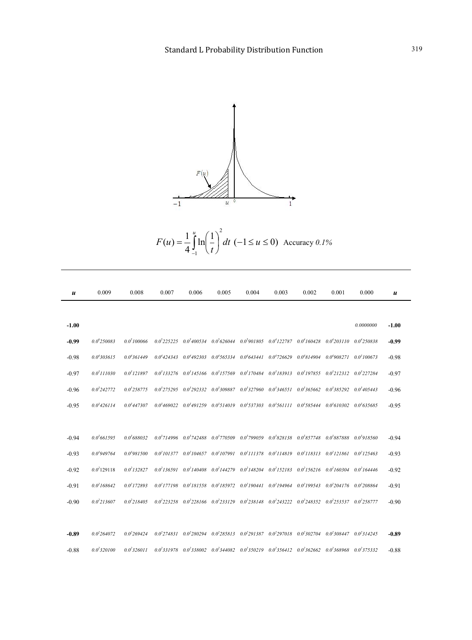

*dt t F u u*  $(1)^2$   $\ln\left(\frac{1}{2}\right)$  $(u) = \frac{1}{4} \int_{-1}^{u}$  $\overline{\phantom{a}}$ J  $\left(\frac{1}{\cdot}\right)$  $\setminus$  $=\frac{1}{4}\int_{0}^{u} \ln\left(\frac{1}{u}\right)^{2} dt$  (-1 \le u \le 0) Accuracy 0.1%

| u       | 0.009            | 0.008            | 0.007 | 0.006 | 0.005 | 0.004                                                                                                                           | 0.003 | 0.002 | 0.001 | 0.000     | $\boldsymbol{u}$ |
|---------|------------------|------------------|-------|-------|-------|---------------------------------------------------------------------------------------------------------------------------------|-------|-------|-------|-----------|------------------|
|         |                  |                  |       |       |       |                                                                                                                                 |       |       |       |           |                  |
| $-1.00$ |                  |                  |       |       |       |                                                                                                                                 |       |       |       | 0.0000000 | $-1.00$          |
| $-0.99$ | $0.0^{6}$ 250083 | $0.0^{5}100066$  |       |       |       | $0.0^5$ 225225 $0.0^5$ 400534 $0.0^5$ 626044 $0.0^5$ 901805 $0.0^4$ 122787 $0.0^4$ 160428 $0.0^4$ 203110 $0.0^4$ 250838         |       |       |       |           | $-0.99$          |
| $-0.98$ | $0.0^{4}303615$  | $0.0^{4}361449$  |       |       |       | $0.0^{4}424343$ $0.0^{4}492303$ $0.0^{4}565334$ $0.0^{4}643441$ $0.0^{4}726629$ $0.0^{4}814904$ $0.0^{4}908271$ $0.0^{3}100673$ |       |       |       |           | $-0.98$          |
| $-0.97$ | $0.0^{3}111030$  | $0.0^{3}121897$  |       |       |       | $0.0^3133276$ $0.0^3145166$ $0.0^3157569$ $0.0^3170484$ $0.0^3183913$ $0.0^3197855$ $0.0^3212312$ $0.0^3227284$                 |       |       |       |           | $-0.97$          |
| $-0.96$ | $0.0^{3}242772$  | $0.0^{3}$ 258775 |       |       |       | $0.0^3$ 275295 $0.0^3$ 292332 $0.0^3$ 309887 $0.0^3$ 327960 $0.0^3$ 346551 $0.0^3$ 365662 $0.0^3$ 385292 $0.0^3$ 405443         |       |       |       |           | $-0.96$          |
| $-0.95$ | $0.0^{3}$ 426114 | $0.0^{3}$ 447307 |       |       |       | $0.0^3469022$ $0.0^3491259$ $0.0^3514019$ $0.0^3537303$ $0.0^3561111$ $0.0^3585444$ $0.0^3610302$ $0.0^3635685$                 |       |       |       |           | $-0.95$          |
|         |                  |                  |       |       |       |                                                                                                                                 |       |       |       |           |                  |
| $-0.94$ | $0.0^{3}661595$  | $0.0^{3}688032$  |       |       |       | $0.0^3714996$ $0.0^3742488$ $0.0^3770509$ $0.0^3799059$ $0.0^3828138$ $0.0^3857748$ $0.0^3887888$ $0.0^3918560$                 |       |       |       |           | $-0.94$          |
| $-0.93$ | $0.0^{3}949764$  | $0.0^{3}981500$  |       |       |       | $0.0^2101377$ $0.0^2104657$ $0.0^2107991$ $0.0^2111378$ $0.0^2114819$ $0.0^2118313$ $0.0^2121861$ $0.0^2125463$                 |       |       |       |           | $-0.93$          |
| $-0.92$ | $0.0^{2}129118$  | $0.0^{2}132827$  |       |       |       | $0.0^2136591$ $0.0^2140408$ $0.0^2144279$ $0.0^2148204$ $0.0^2152183$ $0.0^2156216$ $0.0^2160304$ $0.0^2164446$                 |       |       |       |           | $-0.92$          |
| $-0.91$ | $0.0^{2}168642$  | $0.0^{2}$ 172893 |       |       |       | $0.0^2177198$ $0.0^2181558$ $0.0^2185972$ $0.0^2190441$ $0.0^2194964$ $0.0^2199543$ $0.0^2204176$ $0.0^2208864$                 |       |       |       |           | $-0.91$          |
| $-0.90$ | $0.0^{2}$ 213607 | $0.0^{2}$ 218405 |       |       |       | $0.0^2223258$ $0.0^2228166$ $0.0^2233129$ $0.0^2238148$ $0.0^2243222$ $0.0^2248352$ $0.0^2253537$ $0.0^2258777$                 |       |       |       |           | $-0.90$          |
|         |                  |                  |       |       |       |                                                                                                                                 |       |       |       |           |                  |
| $-0.89$ | $0.0^{2}264072$  | $0.0^{2}269424$  |       |       |       | $0.0^{2}274831$ $0.0^{2}280294$ $0.0^{2}285813$ $0.0^{2}291387$ $0.0^{2}297018$ $0.0^{2}302704$ $0.0^{2}308447$ $0.0^{2}314245$ |       |       |       |           | $-0.89$          |
| $-0.88$ | $0.0^{2}$ 320100 | $0.0^{2}326011$  |       |       |       | $0.0^{2}331978$ $0.0^{2}338002$ $0.0^{2}344082$ $0.0^{2}350219$ $0.0^{2}356412$ $0.0^{2}362662$ $0.0^{2}368968$ $0.0^{2}375332$ |       |       |       |           | $-0.88$          |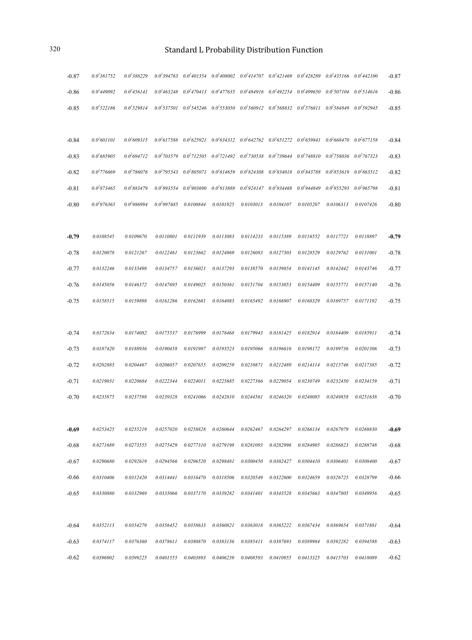| $-0.87$ | $0.0^{2}381752$  | $0.0^{2}388229$  |                 |           |           | $0.0^2$ 394763 $0.0^2$ 401354 $0.0^2$ 408002 $0.0^2$ 414707 $0.0^2$ 421469 $0.0^2$ 428289 $0.0^2$ 435166 $0.0^2$ 442100         |                                 |           |                 |                 | $-0.87$ |
|---------|------------------|------------------|-----------------|-----------|-----------|---------------------------------------------------------------------------------------------------------------------------------|---------------------------------|-----------|-----------------|-----------------|---------|
| $-0.86$ | $0.0^{2}449092$  | $0.0^{2}$ 456141 |                 |           |           | $0.0^{2}463248$ $0.0^{2}470413$ $0.0^{2}477635$ $0.0^{2}484916$ $0.0^{2}492254$ $0.0^{2}499650$ $0.0^{2}507104$ $0.0^{2}514616$ |                                 |           |                 |                 | $-0.86$ |
| $-0.85$ | $0.0^{2}$ 522186 | $0.0^{2}$ 529814 |                 |           |           | $0.0^2$ 537501 $0.0^2$ 545246 $0.0^2$ 553050 $0.0^2$ 560912 $0.0^2$ 568832 $0.0^2$ 576811 $0.0^2$ 584849 $0.0^2$ 592945         |                                 |           |                 |                 | $-0.85$ |
|         |                  |                  |                 |           |           |                                                                                                                                 |                                 |           |                 |                 |         |
| $-0.84$ | $0.0^{2}601101$  | $0.0\,609315$    |                 |           |           | $0.0^{2}617588$ $0.0^{2}625921$ $0.0^{2}634312$ $0.0^{2}642762$ $0.0^{2}651272$ $0.0^{2}659841$ $0.0^{2}668470$ $0.0^{2}677158$ |                                 |           |                 |                 | $-0.84$ |
| $-0.83$ | $0.0^{2}685905$  | $0.0^{2}694712$  |                 |           |           | $0.0^2$ 703579 $0.0^2$ 712505 $0.0^2$ 721492 $0.0^2$ 730538 $0.0^2$ 739644 $0.0^2$ 748810 $0.0^2$ 758036 $0.0^2$ 767323         |                                 |           |                 |                 | $-0.83$ |
| $-0.82$ | $0.0^{2}776669$  | $0.0^{2}786076$  |                 |           |           | $0.0^2$ 795543 $0.0^2$ 805071 $0.0^2$ 814659 $0.0^2$ 824308 $0.0^2$ 834018 $0.0^2$ 843788 $0.0^2$ 853619 $0.0^2$ 863512         |                                 |           |                 |                 | $-0.82$ |
| $-0.81$ | $0.0^{2}873465$  | $0.0^{2}883479$  |                 |           |           | $0.0^{2}893554$ $0.0^{2}903690$ $0.0^{2}913888$ $0.0^{2}924147$ $0.0^{2}934468$ $0.0^{2}944849$                                 |                                 |           | $0.0^{2}955293$ | $0.0^{2}965798$ | $-0.81$ |
| $-0.80$ | $0.0^{2}976365$  | $0.0^{2}986994$  | $0.0^{2}997685$ | 0.0100844 | 0.0101925 |                                                                                                                                 | 0.0103013  0.0104107  0.0105207 |           | 0.0106313       | 0.0107426       | $-0.80$ |
|         |                  |                  |                 |           |           |                                                                                                                                 |                                 |           |                 |                 |         |
| $-0.79$ | 0.0108545        | 0.0109670        | 0.0110801       | 0.0111939 | 0.0113083 | 0.0114233                                                                                                                       | 0.0115389                       | 0.0116552 | 0.0117721       | 0.0118897       | $-0.79$ |
| $-0.78$ | 0.0120078        | 0.0121267        | 0.0122461       | 0.0123662 | 0.0124869 | 0.0126083                                                                                                                       | 0.0127303                       | 0.0128529 | 0.0129762       | 0.0131001       | $-0.78$ |
| $-0.77$ | 0.0132246        | 0.0133498        | 0.0134757       | 0.0136021 | 0.0137293 | 0.0138570                                                                                                                       | 0.0139854                       | 0.0141145 | 0.0142442       | 0.0143746       | $-0.77$ |
| $-0.76$ | 0.0145056        | 0.0146372        | 0.0147695       | 0.0149025 | 0.0150361 | 0.0151704                                                                                                                       | 0.0153053                       | 0.0154409 | 0.0155771       | 0.0157140       | $-0.76$ |
| $-0.75$ | 0.0158515        | 0.0159898        | 0.0161286       | 0.0162681 | 0.0164083 | 0.0165492                                                                                                                       | 0.0166907                       | 0.0168329 | 0.0169757       | 0.0171192       | $-0.75$ |
|         |                  |                  |                 |           |           |                                                                                                                                 |                                 |           |                 |                 |         |
| $-0.74$ | 0.0172634        | 0.0174082        | 0.0175537       | 0.0176999 | 0.0178468 | 0.0179943                                                                                                                       | 0.0181425                       | 0.0182914 | 0.0184409       | 0.0185911       | $-0.74$ |
| $-0.73$ | 0.0187420        | 0.0188936        | 0.0190458       | 0.0191987 | 0.0193523 | 0.0195066                                                                                                                       | 0.0196616                       | 0.0198172 | 0.0199736       | 0.0201306       | $-0.73$ |
| $-0.72$ | 0.0202883        | 0.0204467        | 0.0206057       | 0.0207655 | 0.0209259 | 0.0210871                                                                                                                       | 0.0212489                       | 0.0214114 | 0.0215746       | 0.0217385       | $-0.72$ |
| $-0.71$ | 0.0219031        | 0.0220684        | 0.0222344       | 0.0224011 | 0.0225685 | 0.0227366                                                                                                                       | 0.0229054                       | 0.0230749 | 0.0232450       | 0.0234159       | $-0.71$ |
| $-0.70$ | 0.0235875        | 0.0237598        | 0.0239328       | 0.0241066 | 0.0242810 | 0.0244561                                                                                                                       | 0.0246320                       | 0.0248085 | 0.0249858       | 0.0251638       | $-0.70$ |
|         |                  |                  |                 |           |           |                                                                                                                                 |                                 |           |                 |                 |         |
| $-0.69$ | 0.0253425        | 0.0255219        | 0.0257020       | 0.0258828 | 0.0260644 | 0.0262467                                                                                                                       | 0.0264297                       | 0.0266134 | 0.0267979       | 0.0269830       | $-0.69$ |
| $-0.68$ | 0.0271689        | 0.0273555        | 0.0275429       | 0.0277310 | 0.0279198 | 0.0281093                                                                                                                       | 0.0282996                       | 0.0284905 | 0.0286823       | 0.0288748       | $-0.68$ |
| $-0.67$ | 0.0290680        | 0.0292619        | 0.0294566       | 0.0296520 | 0.0298481 | 0.0300450                                                                                                                       | 0.0302427                       | 0.0304410 | 0.0306401       | 0.0308400       | $-0.67$ |
| $-0.66$ | 0.0310406        | 0.0312420        | 0.0314441       | 0.0316470 | 0.0318506 | 0.0320549                                                                                                                       | 0.0322600                       | 0.0324659 | 0.0326725       | 0.0328799       | $-0.66$ |
| $-0.65$ | 0.0330880        | 0.0332969        | 0.0335066       | 0.0337170 | 0.0339282 | 0.0341401                                                                                                                       | 0.0343528                       | 0.0345663 | 0.0347805       | 0.0349956       | $-0.65$ |
|         |                  |                  |                 |           |           |                                                                                                                                 |                                 |           |                 |                 |         |
| $-0.64$ | 0.0352113        | 0.0354279        | 0.0356452       | 0.0358633 | 0.0360821 | 0.0363018                                                                                                                       | 0.0365222                       | 0.0367434 | 0.0369654       | 0.0371881       | $-0.64$ |
| $-0.63$ | 0.0374117        | 0.0376360        | 0.0378611       | 0.0380870 | 0.0383136 | 0.0385411                                                                                                                       | 0.0387693                       | 0.0389984 | 0.0392282       | 0.0394588       | $-0.63$ |
| $-0.62$ | 0.0396902        | 0.0399225        | 0.0401555       | 0.0403893 | 0.0406239 | 0.0408593                                                                                                                       | 0.0410955                       | 0.0413325 | 0.0415703       | 0.0418089       | $-0.62$ |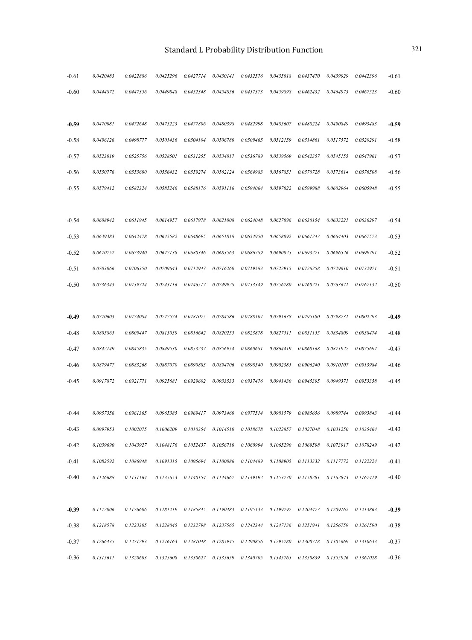| $-0.61$ | 0.0420483 | 0.0422886 | 0.0425296 | 0.0427714                                             | 0.0430141 | 0.0432576            | 0.0435018 | 0.0437470 | 0.0439929 | 0.0442396 | $-0.61$ |
|---------|-----------|-----------|-----------|-------------------------------------------------------|-----------|----------------------|-----------|-----------|-----------|-----------|---------|
| $-0.60$ | 0.0444872 | 0.0447356 | 0.0449848 | 0.0452348                                             | 0.0454856 | 0.0457373            | 0.0459898 | 0.0462432 | 0.0464973 | 0.0467523 | $-0.60$ |
|         |           |           |           |                                                       |           |                      |           |           |           |           |         |
| $-0.59$ | 0.0470081 | 0.0472648 | 0.0475223 | 0.0477806                                             | 0.0480398 | 0.0482998            | 0.0485607 | 0.0488224 | 0.0490849 | 0.0493483 | $-0.59$ |
| $-0.58$ | 0.0496126 | 0.0498777 | 0.0501436 | 0.0504104                                             | 0.0506780 | 0.0509465            | 0.0512159 | 0.0514861 | 0.0517572 | 0.0520291 | $-0.58$ |
| $-0.57$ | 0.0523019 | 0.0525756 | 0.0528501 | 0.0531255                                             | 0.0534017 | 0.0536789            | 0.0539569 | 0.0542357 | 0.0545155 | 0.0547961 | $-0.57$ |
| $-0.56$ | 0.0550776 | 0.0553600 | 0.0556432 | 0.0559274                                             | 0.0562124 | 0.0564983            | 0.0567851 | 0.0570728 | 0.0573614 | 0.0576508 | $-0.56$ |
| $-0.55$ | 0.0579412 | 0.0582324 | 0.0585246 | 0.0588176                                             | 0.0591116 | 0.0594064            | 0.0597022 | 0.0599988 | 0.0602964 | 0.0605948 | $-0.55$ |
|         |           |           |           |                                                       |           |                      |           |           |           |           |         |
| $-0.54$ | 0.0608942 | 0.0611945 | 0.0614957 | 0.0617978                                             | 0.0621008 | 0.0624048            | 0.0627096 | 0.0630154 | 0.0633221 | 0.0636297 | $-0.54$ |
| $-0.53$ | 0.0639383 | 0.0642478 | 0.0645582 | 0.0648695                                             | 0.0651818 | 0.0654950            | 0.0658092 | 0.0661243 | 0.0664403 | 0.0667573 | $-0.53$ |
| $-0.52$ | 0.0670752 | 0.0673940 | 0.0677138 | 0.0680346                                             | 0.0683563 | 0.0686789            | 0.0690025 | 0.0693271 | 0.0696526 | 0.0699791 | $-0.52$ |
| $-0.51$ | 0.0703066 | 0.0706350 | 0.0709643 | 0.0712947                                             | 0.0716260 | 0.0719583            | 0.0722915 | 0.0726258 | 0.0729610 | 0.0732971 | $-0.51$ |
| $-0.50$ | 0.0736343 | 0.0739724 | 0.0743116 | 0.0746517                                             | 0.0749928 | 0.0753349            | 0.0756780 | 0.0760221 | 0.0763671 | 0.0767132 | $-0.50$ |
|         |           |           |           |                                                       |           |                      |           |           |           |           |         |
| $-0.49$ | 0.0770603 | 0.0774084 | 0.0777574 | 0.0781075                                             | 0.0784586 | 0.0788107            | 0.0791638 | 0.0795180 | 0.0798731 | 0.0802293 | $-0.49$ |
| $-0.48$ | 0.0805865 | 0.0809447 | 0.0813039 | 0.0816642                                             | 0.0820255 | 0.0823878            | 0.0827511 | 0.0831155 | 0.0834809 | 0.0838474 | $-0.48$ |
| $-0.47$ | 0.0842149 | 0.0845835 | 0.0849530 | 0.0853237                                             | 0.0856954 | 0.0860681            | 0.0864419 | 0.0868168 | 0.0871927 | 0.0875697 | $-0.47$ |
| $-0.46$ | 0.0879477 | 0.0883268 | 0.0887070 | 0.0890883                                             | 0.0894706 | 0.0898540            | 0.0902385 | 0.0906240 | 0.0910107 | 0.0913984 | $-0.46$ |
| $-0.45$ | 0.0917872 | 0.0921771 | 0.0925681 | 0.0929602                                             | 0.0933533 | 0.0937476            | 0.0941430 | 0.0945395 | 0.0949371 | 0.0953358 | $-0.45$ |
|         |           |           |           |                                                       |           |                      |           |           |           |           |         |
| $-0.44$ | 0.0957356 | 0.0961365 | 0.0965385 | 0.0969417                                             | 0.0973460 | 0.0977514            | 0.0981579 | 0.0985656 | 0.0989744 | 0.0993843 | $-0.44$ |
| $-0.43$ | 0.0997953 | 0.1002075 | 0.1006209 | 0.1010354                                             |           | 0.1014510  0.1018678 | 0.1022857 | 0.1027048 | 0.1031250 | 0.1035464 | $-0.43$ |
| $-0.42$ | 0.1039690 | 0.1043927 | 0.1048176 | 0.1052437                                             | 0.1056710 | 0.1060994            | 0.1065290 | 0.1069598 | 0.1073917 | 0.1078249 | $-0.42$ |
| $-0.41$ | 0.1082592 | 0.1086948 | 0.1091315 | 0.1095694                                             | 0.1100086 | 0.1104489            | 0.1108905 | 0.1113332 | 0.1117772 | 0.1122224 | $-0.41$ |
| $-0.40$ | 0.1126688 | 0.1131164 | 0.1135653 | 0.1140154                                             | 0.1144667 | 0.1149192            | 0.1153730 | 0.1158281 | 0.1162843 | 0.1167419 | $-0.40$ |
|         |           |           |           |                                                       |           |                      |           |           |           |           |         |
| $-0.39$ | 0.1172006 | 0.1176606 |           | 0.1181219  0.1185845                                  |           | 0.1190483  0.1195133 | 0.1199797 | 0.1204473 | 0.1209162 | 0.1213863 | $-0.39$ |
| $-0.38$ | 0.1218578 | 0.1223305 | 0.1228045 | 0.1232798                                             | 0.1237565 | 0.1242344            | 0.1247136 | 0.1251941 | 0.1256759 | 0.1261590 | $-0.38$ |
| $-0.37$ | 0.1266435 | 0.1271293 | 0.1276163 | 0.1281048                                             | 0.1285945 | 0.1290856            | 0.1295780 | 0.1300718 | 0.1305669 | 0.1310633 | $-0.37$ |
| $-0.36$ | 0.1315611 | 0.1320603 | 0.1325608 | 0.1330627  0.1335659  0.1340705  0.1345765  0.1350839 |           |                      |           |           | 0.1355926 | 0.1361028 | $-0.36$ |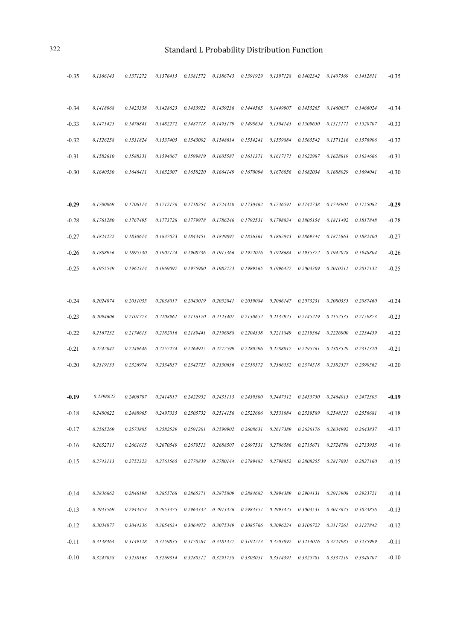| $-0.35$ | 0.1366143 | 0.1371272 | 0.1376415                                                                                       | 0.1381572 | 0.1386743 | 0.1391929                                                                                                                          | 0.1397128 | 0.1402342 | 0.1407569                       | 0.1412811 | $-0.35$ |
|---------|-----------|-----------|-------------------------------------------------------------------------------------------------|-----------|-----------|------------------------------------------------------------------------------------------------------------------------------------|-----------|-----------|---------------------------------|-----------|---------|
| $-0.34$ | 0.1418068 | 0.1423338 | 0.1428623                                                                                       | 0.1433922 | 0.1439236 | 0.1444565                                                                                                                          | 0.1449907 | 0.1455265 | 0.1460637                       | 0.1466024 | $-0.34$ |
| $-0.33$ | 0.1471425 | 0.1476841 | 0.1482272                                                                                       | 0.1487718 | 0.1493179 | 0.1498654                                                                                                                          | 0.1504145 | 0.1509650 | 0.1515171                       | 0.1520707 | $-0.33$ |
| $-0.32$ | 0.1526258 | 0.1531824 | 0.1537405                                                                                       | 0.1543002 | 0.1548614 | 0.1554241                                                                                                                          | 0.1559884 | 0.1565542 | 0.1571216                       | 0.1576906 | $-0.32$ |
| $-0.31$ | 0.1582610 | 0.1588331 | 0.1594067                                                                                       | 0.1599819 | 0.1605587 | 0.1611371                                                                                                                          | 0.1617171 | 0.1622987 | 0.1628819                       | 0.1634666 | $-0.31$ |
| $-0.30$ | 0.1640530 | 0.1646411 | 0.1652307                                                                                       | 0.1658220 | 0.1664149 | 0.1670094                                                                                                                          | 0.1676056 | 0.1682034 | 0.1688029                       | 0.1694041 | $-0.30$ |
|         |           |           |                                                                                                 |           |           |                                                                                                                                    |           |           |                                 |           |         |
| $-0.29$ | 0.1700069 | 0.1706114 | 0.1712176                                                                                       | 0.1718254 | 0.1724350 | 0.1730462                                                                                                                          | 0.1736591 | 0.1742738 | 0.1748901                       | 0.1755082 | $-0.29$ |
| $-0.28$ | 0.1761280 | 0.1767495 | 0.1773728                                                                                       | 0.1779978 | 0.1786246 | 0.1792531                                                                                                                          | 0.1798834 | 0.1805154 | 0.1811492                       | 0.1817848 | $-0.28$ |
| $-0.27$ | 0.1824222 | 0.1830614 | 0.1837023                                                                                       | 0.1843451 | 0.1849897 | 0.1856361                                                                                                                          | 0.1862843 | 0.1869344 | 0.1875863                       | 0.1882400 | $-0.27$ |
| $-0.26$ | 0.1888956 | 0.1895530 | 0.1902124                                                                                       | 0.1908736 | 0.1915366 | 0.1922016                                                                                                                          | 0.1928684 | 0.1935372 | 0.1942078                       | 0.1948804 | $-0.26$ |
| $-0.25$ | 0.1955549 | 0.1962314 | 0.1969097                                                                                       | 0.1975900 | 0.1982723 | 0.1989565                                                                                                                          | 0.1996427 | 0.2003309 | 0.2010211                       | 0.2017132 | $-0.25$ |
|         |           |           |                                                                                                 |           |           |                                                                                                                                    |           |           |                                 |           |         |
| $-0.24$ | 0.2024074 | 0.2031035 | 0.2038017                                                                                       | 0.2045019 | 0.2052041 | 0.2059084                                                                                                                          | 0.2066147 | 0.2073231 | 0.2080335                       | 0.2087460 | $-0.24$ |
| $-0.23$ | 0.2094606 | 0.2101773 | 0.2108961                                                                                       | 0.2116170 | 0.2123401 | 0.2130652                                                                                                                          | 0.2137925 | 0.2145219 | 0.2152535                       | 0.2159873 | $-0.23$ |
| $-0.22$ | 0.2167232 | 0.2174613 | 0.2182016                                                                                       | 0.2189441 | 0.2196888 | 0.2204358                                                                                                                          | 0.2211849 | 0.2219364 | 0.2226900                       | 0.2234459 | $-0.22$ |
| $-0.21$ | 0.2242042 | 0.2249646 | 0.2257274                                                                                       | 0.2264925 | 0.2272599 | 0.2280296                                                                                                                          | 0.2288017 | 0.2295761 | 0.2303529                       | 0.2311320 | $-0.21$ |
| $-0.20$ | 0.2319135 | 0.2326974 | 0.2334837                                                                                       | 0.2342725 | 0.2350636 | 0.2358572                                                                                                                          | 0.2366532 | 0.2374518 | 0.2382527                       | 0.2390562 | $-0.20$ |
|         |           |           |                                                                                                 |           |           |                                                                                                                                    |           |           |                                 |           |         |
| $-0.19$ | 0.2398622 | 0.2406707 | 0.2414817                                                                                       | 0.2422952 | 0.2431113 | 0.2439300                                                                                                                          | 0.2447512 | 0.2455750 | 0.2464015                       | 0.2472305 | $-0.19$ |
| $-0.18$ | 0.2480622 | 0.2488965 | 0.2497335                                                                                       | 0.2505732 | 0.2514156 | 0.2522606                                                                                                                          | 0.2531084 | 0.2539589 | 0.2548121                       | 0.2556681 | $-0.18$ |
| -0.17   | 0.2565269 | 0.2573885 |                                                                                                 |           |           | $0.2582529 \qquad 0.2591201 \qquad 0.2599902 \qquad 0.2608631 \qquad 0.2617389 \qquad 0.2626176 \qquad 0.2634992 \qquad 0.2643837$ |           |           |                                 |           | $-0.17$ |
| $-0.16$ | 0.2652711 | 0.2661615 | $0.2670549$ $0.2679513$ $0.2688507$ $0.2697531$ $0.2706586$ $0.2715671$ $0.2724788$ $0.2733935$ |           |           |                                                                                                                                    |           |           |                                 |           | $-0.16$ |
| $-0.15$ | 0.2743113 | 0.2752323 |                                                                                                 |           |           | 0.2761565  0.2770839  0.2780144  0.2789482  0.2798852                                                                              |           |           | 0.2808255  0.2817691  0.2827160 |           | $-0.15$ |
|         |           |           |                                                                                                 |           |           |                                                                                                                                    |           |           |                                 |           |         |
| $-0.14$ | 0.2836662 | 0.2846198 |                                                                                                 |           |           | $0.2855768$ $0.2865371$ $0.2875009$ $0.2884682$ $0.2894389$ $0.2904131$ $0.2913908$ $0.2923721$                                    |           |           |                                 |           | $-0.14$ |
| $-0.13$ | 0.2933569 | 0.2943454 |                                                                                                 |           |           | 0.2953375  0.2963332  0.2973326  0.2983357  0.2993425                                                                              |           | 0.3003531 | 0.3013675   0.3023856           |           | $-0.13$ |
| $-0.12$ | 0.3034077 | 0.3044336 |                                                                                                 |           |           | $0.3054634$ $0.3064972$ $0.3075349$ $0.3085766$ $0.3096224$ $0.3106722$ $0.3117261$                                                |           |           |                                 | 0.3127842 | $-0.12$ |
| $-0.11$ | 0.3138464 | 0.3149128 |                                                                                                 |           |           | 0.3159835 0.3170584 0.3181377 0.3192213 0.3203092 0.3214016 0.3224985 0.3235999                                                    |           |           |                                 |           | $-0.11$ |
| $-0.10$ | 0.3247058 | 0.3258163 |                                                                                                 |           |           | 0.3269314  0.3280512  0.3291758  0.3303051                                                                                         | 0.3314391 |           | 0.3325781 0.3337219             | 0.3348707 | $-0.10$ |